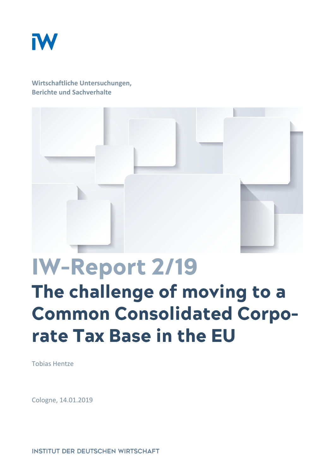

**Wirtschaftliche Untersuchungen, Berichte und Sachverhalte**



# IW-Report 2/19 The challenge of moving to a **Common Consolidated Corpo**rate Tax Base in the EU

Tobias Hentze

Cologne, 14.01.2019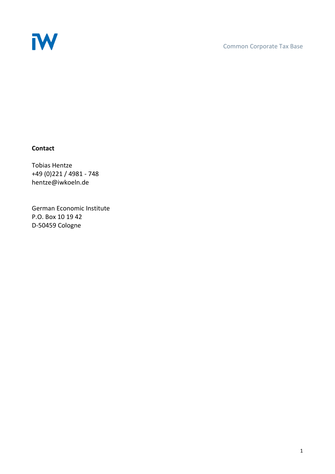

#### **Contact**

Tobias Hentze +49 (0)221 / 4981 - 748 hentze@iwkoeln.de

German Economic Institute P.O. Box 10 19 42 D-50459 Cologne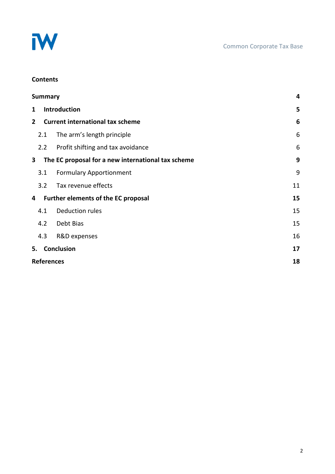

#### **Contents**

| <b>Summary</b>    |                                         |                                                    | 4  |
|-------------------|-----------------------------------------|----------------------------------------------------|----|
| 1                 | Introduction                            |                                                    | 5  |
| $\mathbf{2}$      | <b>Current international tax scheme</b> |                                                    | 6  |
|                   | 2.1                                     | The arm's length principle                         | 6  |
|                   | 2.2                                     | Profit shifting and tax avoidance                  | 6  |
| 3                 |                                         | The EC proposal for a new international tax scheme | 9  |
|                   | 3.1                                     | <b>Formulary Apportionment</b>                     | 9  |
|                   | 3.2                                     | Tax revenue effects                                | 11 |
| 4                 |                                         | Further elements of the EC proposal                | 15 |
|                   | 4.1                                     | <b>Deduction rules</b>                             | 15 |
|                   | 4.2                                     | Debt Bias                                          | 15 |
|                   | 4.3                                     | R&D expenses                                       | 16 |
|                   |                                         | 5. Conclusion                                      | 17 |
| <b>References</b> |                                         |                                                    | 18 |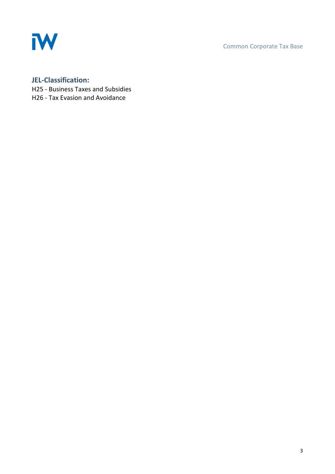

Common Corporate Tax Base

# **JEL-Classification:**

- H25 Business Taxes and Subsidies
- H26 Tax Evasion and Avoidance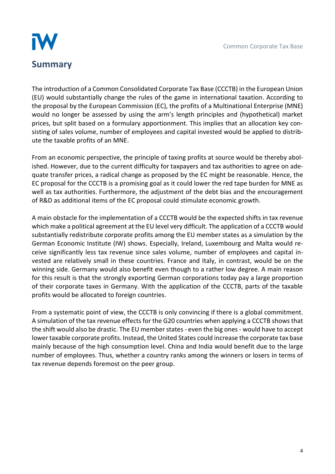

<span id="page-4-0"></span>The introduction of a Common Consolidated Corporate Tax Base (CCCTB) in the European Union (EU) would substantially change the rules of the game in international taxation. According to the proposal by the European Commission (EC), the profits of a Multinational Enterprise (MNE) would no longer be assessed by using the arm's length principles and (hypothetical) market prices, but split based on a formulary apportionment. This implies that an allocation key consisting of sales volume, number of employees and capital invested would be applied to distribute the taxable profits of an MNE.

From an economic perspective, the principle of taxing profits at source would be thereby abolished. However, due to the current difficulty for taxpayers and tax authorities to agree on adequate transfer prices, a radical change as proposed by the EC might be reasonable. Hence, the EC proposal for the CCCTB is a promising goal as it could lower the red tape burden for MNE as well as tax authorities. Furthermore, the adjustment of the debt bias and the encouragement of R&D as additional items of the EC proposal could stimulate economic growth.

A main obstacle for the implementation of a CCCTB would be the expected shifts in tax revenue which make a political agreement at the EU level very difficult. The application of a CCCTB would substantially redistribute corporate profits among the EU member states as a simulation by the German Economic Institute (IW) shows. Especially, Ireland, Luxembourg and Malta would receive significantly less tax revenue since sales volume, number of employees and capital invested are relatively small in these countries. France and Italy, in contrast, would be on the winning side. Germany would also benefit even though to a rather low degree. A main reason for this result is that the strongly exporting German corporations today pay a large proportion of their corporate taxes in Germany. With the application of the CCCTB, parts of the taxable profits would be allocated to foreign countries.

From a systematic point of view, the CCCTB is only convincing if there is a global commitment. A simulation of the tax revenue effects for the G20 countries when applying a CCCTB shows that the shift would also be drastic. The EU member states - even the big ones - would have to accept lower taxable corporate profits. Instead, the United States could increase the corporate tax base mainly because of the high consumption level. China and India would benefit due to the large number of employees. Thus, whether a country ranks among the winners or losers in terms of tax revenue depends foremost on the peer group.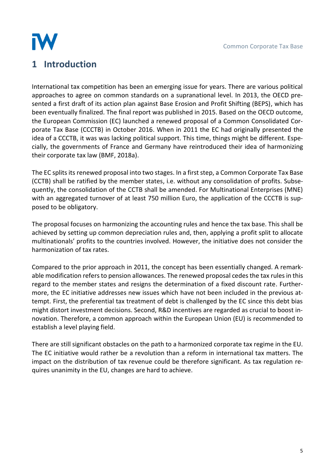

# <span id="page-5-0"></span>**1 Introduction**

International tax competition has been an emerging issue for years. There are various political approaches to agree on common standards on a supranational level. In 2013, the OECD presented a first draft of its action plan against Base Erosion and Profit Shifting (BEPS), which has been eventually finalized. The final report was published in 2015. Based on the OECD outcome, the European Commission (EC) launched a renewed proposal of a Common Consolidated Corporate Tax Base (CCCTB) in October 2016. When in 2011 the EC had originally presented the idea of a CCCTB, it was was lacking political support. This time, things might be different. Especially, the governments of France and Germany have reintroduced their idea of harmonizing their corporate tax law (BMF, 2018a).

The EC splits its renewed proposal into two stages. In a first step, a Common Corporate Tax Base (CCTB) shall be ratified by the member states, i.e. without any consolidation of profits. Subsequently, the consolidation of the CCTB shall be amended. For Multinational Enterprises (MNE) with an aggregated turnover of at least 750 million Euro, the application of the CCCTB is supposed to be obligatory.

The proposal focuses on harmonizing the accounting rules and hence the tax base. This shall be achieved by setting up common depreciation rules and, then, applying a profit split to allocate multinationals' profits to the countries involved. However, the initiative does not consider the harmonization of tax rates.

Compared to the prior approach in 2011, the concept has been essentially changed. A remarkable modification refers to pension allowances. The renewed proposal cedes the tax rules in this regard to the member states and resigns the determination of a fixed discount rate. Furthermore, the EC initiative addresses new issues which have not been included in the previous attempt. First, the preferential tax treatment of debt is challenged by the EC since this debt bias might distort investment decisions. Second, R&D incentives are regarded as crucial to boost innovation. Therefore, a common approach within the European Union (EU) is recommended to establish a level playing field.

There are still significant obstacles on the path to a harmonized corporate tax regime in the EU. The EC initiative would rather be a revolution than a reform in international tax matters. The impact on the distribution of tax revenue could be therefore significant. As tax regulation requires unanimity in the EU, changes are hard to achieve.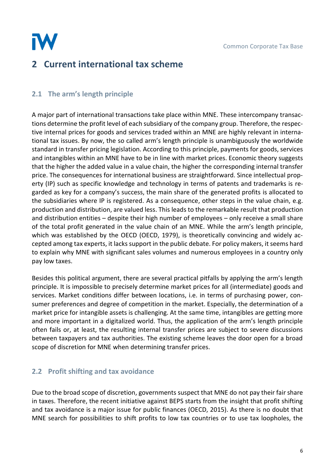

# <span id="page-6-0"></span>**2 Current international tax scheme**

# <span id="page-6-1"></span>**2.1 The arm's length principle**

A major part of international transactions take place within MNE. These intercompany transactions determine the profit level of each subsidiary of the company group. Therefore, the respective internal prices for goods and services traded within an MNE are highly relevant in international tax issues. By now, the so called arm's length principle is unambiguously the worldwide standard in transfer pricing legislation. According to this principle, payments for goods, services and intangibles within an MNE have to be in line with market prices. Economic theory suggests that the higher the added value in a value chain, the higher the corresponding internal transfer price. The consequences for international business are straightforward. Since intellectual property (IP) such as specific knowledge and technology in terms of patents and trademarks is regarded as key for a company's success, the main share of the generated profits is allocated to the subsidiaries where IP is registered. As a consequence, other steps in the value chain, e.g. production and distribution, are valued less. This leads to the remarkable result that production and distribution entities – despite their high number of employees – only receive a small share of the total profit generated in the value chain of an MNE. While the arm's length principle, which was established by the OECD (OECD, 1979), is theoretically convincing and widely accepted among tax experts, it lacks support in the public debate. For policy makers, it seems hard to explain why MNE with significant sales volumes and numerous employees in a country only pay low taxes.

Besides this political argument, there are several practical pitfalls by applying the arm's length principle. It is impossible to precisely determine market prices for all (intermediate) goods and services. Market conditions differ between locations, i.e. in terms of purchasing power, consumer preferences and degree of competition in the market. Especially, the determination of a market price for intangible assets is challenging. At the same time, intangibles are getting more and more important in a digitalized world. Thus, the application of the arm's length principle often fails or, at least, the resulting internal transfer prices are subject to severe discussions between taxpayers and tax authorities. The existing scheme leaves the door open for a broad scope of discretion for MNE when determining transfer prices.

# <span id="page-6-2"></span>**2.2 Profit shifting and tax avoidance**

Due to the broad scope of discretion, governments suspect that MNE do not pay their fair share in taxes. Therefore, the recent initiative against BEPS starts from the insight that profit shifting and tax avoidance is a major issue for public finances (OECD, 2015). As there is no doubt that MNE search for possibilities to shift profits to low tax countries or to use tax loopholes, the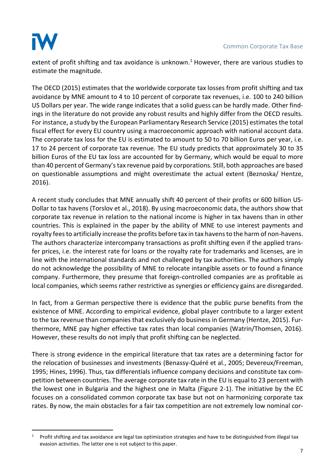

1

extent of profit shifting and tax avoidance is unknown.<sup>1</sup> However, there are various studies to estimate the magnitude.

The OECD (2015) estimates that the worldwide corporate tax losses from profit shifting and tax avoidance by MNE amount to 4 to 10 percent of corporate tax revenues, i.e. 100 to 240 billion US Dollars per year. The wide range indicates that a solid guess can be hardly made. Other findings in the literature do not provide any robust results and highly differ from the OECD results. For instance, a study by the European Parliamentary Research Service (2015) estimates the total fiscal effect for every EU country using a macroeconomic approach with national account data. The corporate tax loss for the EU is estimated to amount to 50 to 70 billion Euros per year, i.e. 17 to 24 percent of corporate tax revenue. The EU study predicts that approximately 30 to 35 billion Euros of the EU tax loss are accounted for by Germany, which would be equal to more than 40 percent of Germany's tax revenue paid by corporations. Still, both approaches are based on questionable assumptions and might overestimate the actual extent (Beznoska/ Hentze, 2016).

A recent study concludes that MNE annually shift 40 percent of their profits or 600 billion US-Dollar to tax havens (Torslov et al., 2018). By using macroeconomic data, the authors show that corporate tax revenue in relation to the national income is higher in tax havens than in other countries. This is explained in the paper by the ability of MNE to use interest payments and royalty fees to artificially increase the profits before tax in tax havens to the harm of non-havens. The authors characterize intercompany transactions as profit shifting even if the applied transfer prices, i.e. the interest rate for loans or the royalty rate for trademarks and licenses, are in line with the international standards and not challenged by tax authorities. The authors simply do not acknowledge the possibility of MNE to relocate intangible assets or to found a finance company. Furthermore, they presume that foreign-controlled companies are as profitable as local companies, which seems rather restrictive as synergies or efficiency gains are disregarded.

In fact, from a German perspective there is evidence that the public purse benefits from the existence of MNE. According to empirical evidence, global player contribute to a larger extent to the tax revenue than companies that exclusively do business in Germany (Hentze, 2015). Furthermore, MNE pay higher effective tax rates than local companies (Watrin/Thomsen, 2016). However, these results do not imply that profit shifting can be neglected.

There is strong evidence in the empirical literature that tax rates are a determining factor for the relocation of businesses and investments (Benassy-Quéré et al., 2005; Devereux/Freeman, 1995; Hines, 1996). Thus, tax differentials influence company decisions and constitute tax competition between countries. The average corporate tax rate in the EU is equal to 23 percent with the lowest one in Bulgaria and the highest one in Malta (Figure 2-1). The initiative by the EC focuses on a consolidated common corporate tax base but not on harmonizing corporate tax rates. By now, the main obstacles for a fair tax competition are not extremely low nominal cor-

<sup>1</sup> Profit shifting and tax avoidance are legal tax optimization strategies and have to be distinguished from illegal tax evasion activities. The latter one is not subject to this paper.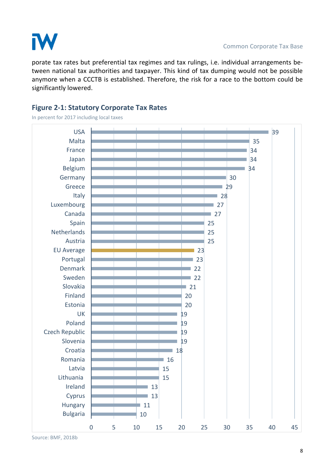

porate tax rates but preferential tax regimes and tax rulings, i.e. individual arrangements between national tax authorities and taxpayer. This kind of tax dumping would not be possible anymore when a CCCTB is established. Therefore, the risk for a race to the bottom could be significantly lowered.

## **Figure 2-1: Statutory Corporate Tax Rates**

In percent for 2017 including local taxes



Source: BMF, 2018b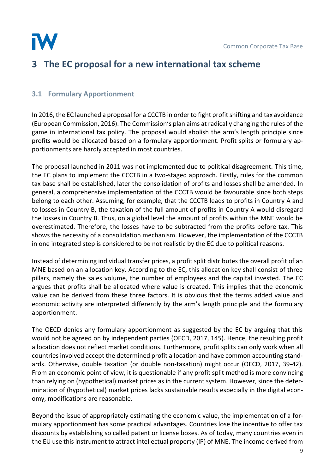

# <span id="page-9-0"></span>**3 The EC proposal for a new international tax scheme**

## <span id="page-9-1"></span>**3.1 Formulary Apportionment**

In 2016, the EC launched a proposal for a CCCTB in order to fight profit shifting and tax avoidance (European Commission, 2016). The Commission's plan aims at radically changing the rules of the game in international tax policy. The proposal would abolish the arm's length principle since profits would be allocated based on a formulary apportionment. Profit splits or formulary apportionments are hardly accepted in most countries.

The proposal launched in 2011 was not implemented due to political disagreement. This time, the EC plans to implement the CCCTB in a two-staged approach. Firstly, rules for the common tax base shall be established, later the consolidation of profits and losses shall be amended. In general, a comprehensive implementation of the CCCTB would be favourable since both steps belong to each other. Assuming, for example, that the CCCTB leads to profits in Country A and to losses in Country B, the taxation of the full amount of profits in Country A would disregard the losses in Country B. Thus, on a global level the amount of profits within the MNE would be overestimated. Therefore, the losses have to be subtracted from the profits before tax. This shows the necessity of a consolidation mechanism. However, the implementation of the CCCTB in one integrated step is considered to be not realistic by the EC due to political reasons.

Instead of determining individual transfer prices, a profit split distributes the overall profit of an MNE based on an allocation key. According to the EC, this allocation key shall consist of three pillars, namely the sales volume, the number of employees and the capital invested. The EC argues that profits shall be allocated where value is created. This implies that the economic value can be derived from these three factors. It is obvious that the terms added value and economic activity are interpreted differently by the arm's length principle and the formulary apportionment.

The OECD denies any formulary apportionment as suggested by the EC by arguing that this would not be agreed on by independent parties (OECD, 2017, 145). Hence, the resulting profit allocation does not reflect market conditions. Furthermore, profit splits can only work when all countries involved accept the determined profit allocation and have common accounting standards. Otherwise, double taxation (or double non-taxation) might occur (OECD, 2017, 39-42). From an economic point of view, it is questionable if any profit split method is more convincing than relying on (hypothetical) market prices as in the current system. However, since the determination of (hypothetical) market prices lacks sustainable results especially in the digital economy, modifications are reasonable.

Beyond the issue of appropriately estimating the economic value, the implementation of a formulary apportionment has some practical advantages. Countries lose the incentive to offer tax discounts by establishing so called patent or license boxes. As of today, many countries even in the EU use this instrument to attract intellectual property (IP) of MNE. The income derived from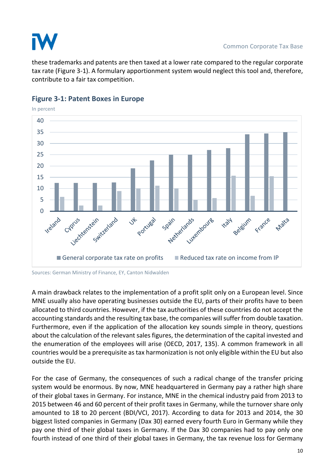

these trademarks and patents are then taxed at a lower rate compared to the regular corporate tax rate (Figure 3-1). A formulary apportionment system would neglect this tool and, therefore, contribute to a fair tax competition.



#### **Figure 3-1: Patent Boxes in Europe**

A main drawback relates to the implementation of a profit split only on a European level. Since MNE usually also have operating businesses outside the EU, parts of their profits have to been allocated to third countries. However, if the tax authorities of these countries do not accept the accounting standards and the resulting tax base, the companies will suffer from double taxation. Furthermore, even if the application of the allocation key sounds simple in theory, questions about the calculation of the relevant sales figures, the determination of the capital invested and the enumeration of the employees will arise (OECD, 2017, 135). A common framework in all countries would be a prerequisite as tax harmonization is not only eligible within the EU but also outside the EU.

For the case of Germany, the consequences of such a radical change of the transfer pricing system would be enormous. By now, MNE headquartered in Germany pay a rather high share of their global taxes in Germany. For instance, MNE in the chemical industry paid from 2013 to 2015 between 46 and 60 percent of their profit taxes in Germany, while the turnover share only amounted to 18 to 20 percent (BDI/VCI, 2017). According to data for 2013 and 2014, the 30 biggest listed companies in Germany (Dax 30) earned every fourth Euro in Germany while they pay one third of their global taxes in Germany. If the Dax 30 companies had to pay only one fourth instead of one third of their global taxes in Germany, the tax revenue loss for Germany

Sources: German Ministry of Finance, EY, Canton Nidwalden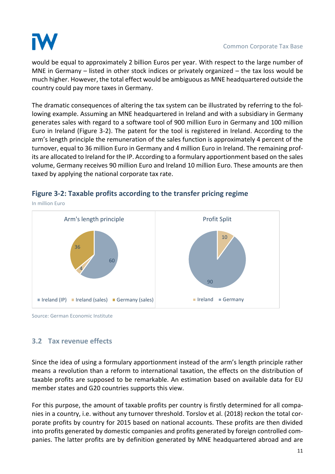

would be equal to approximately 2 billion Euros per year. With respect to the large number of MNE in Germany – listed in other stock indices or privately organized – the tax loss would be much higher. However, the total effect would be ambiguous as MNE headquartered outside the country could pay more taxes in Germany.

The dramatic consequences of altering the tax system can be illustrated by referring to the following example. Assuming an MNE headquartered in Ireland and with a subsidiary in Germany generates sales with regard to a software tool of 900 million Euro in Germany and 100 million Euro in Ireland (Figure 3-2). The patent for the tool is registered in Ireland. According to the arm's length principle the remuneration of the sales function is approximately 4 percent of the turnover, equal to 36 million Euro in Germany and 4 million Euro in Ireland. The remaining profits are allocated to Ireland for the IP. According to a formulary apportionment based on the sales volume, Germany receives 90 million Euro and Ireland 10 million Euro. These amounts are then taxed by applying the national corporate tax rate.



#### **Figure 3-2: Taxable profits according to the transfer pricing regime**

<span id="page-11-0"></span>Source: German Economic Institute

## **3.2 Tax revenue effects**

Since the idea of using a formulary apportionment instead of the arm's length principle rather means a revolution than a reform to international taxation, the effects on the distribution of taxable profits are supposed to be remarkable. An estimation based on available data for EU member states and G20 countries supports this view.

For this purpose, the amount of taxable profits per country is firstly determined for all companies in a country, i.e. without any turnover threshold. Torslov et al. (2018) reckon the total corporate profits by country for 2015 based on national accounts. These profits are then divided into profits generated by domestic companies and profits generated by foreign controlled companies. The latter profits are by definition generated by MNE headquartered abroad and are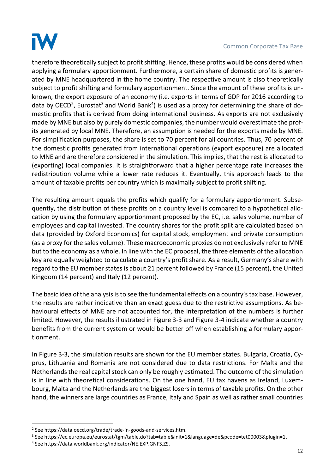

#### Common Corporate Tax Base

therefore theoretically subject to profit shifting. Hence, these profits would be considered when applying a formulary apportionment. Furthermore, a certain share of domestic profits is generated by MNE headquartered in the home country. The respective amount is also theoretically subject to profit shifting and formulary apportionment. Since the amount of these profits is unknown, the export exposure of an economy (i.e. exports in terms of GDP for 2016 according to data by OECD<sup>2</sup>, Eurostat<sup>3</sup> and World Bank<sup>4</sup>) is used as a proxy for determining the share of domestic profits that is derived from doing international business. As exports are not exclusively made by MNE but also by purely domestic companies, the number would overestimate the profits generated by local MNE. Therefore, an assumption is needed for the exports made by MNE. For simplification purposes, the share is set to 70 percent for all countries. Thus, 70 percent of the domestic profits generated from international operations (export exposure) are allocated to MNE and are therefore considered in the simulation. This implies, that the rest is allocated to (exporting) local companies. It is straightforward that a higher percentage rate increases the redistribution volume while a lower rate reduces it. Eventually, this approach leads to the amount of taxable profits per country which is maximally subject to profit shifting.

The resulting amount equals the profits which qualify for a formulary apportionment. Subsequently, the distribution of these profits on a country level is compared to a hypothetical allocation by using the formulary apportionment proposed by the EC, i.e. sales volume, number of employees and capital invested. The country shares for the profit split are calculated based on data (provided by Oxford Economics) for capital stock, employment and private consumption (as a proxy for the sales volume). These macroeconomic proxies do not exclusively refer to MNE but to the economy as a whole. In line with the EC proposal, the three elements of the allocation key are equally weighted to calculate a country's profit share. As a result, Germany's share with regard to the EU member states is about 21 percent followed by France (15 percent), the United Kingdom (14 percent) and Italy (12 percent).

The basic idea of the analysis is to see the fundamental effects on a country's tax base. However, the results are rather indicative than an exact guess due to the restrictive assumptions. As behavioural effects of MNE are not accounted for, the interpretation of the numbers is further limited. However, the results illustrated in Figure 3-3 and Figure 3-4 indicate whether a country benefits from the current system or would be better off when establishing a formulary apportionment.

In Figure 3-3, the simulation results are shown for the EU member states. Bulgaria, Croatia, Cyprus, Lithuania and Romania are not considered due to data restrictions. For Malta and the Netherlands the real capital stock can only be roughly estimated. The outcome of the simulation is in line with theoretical considerations. On the one hand, EU tax havens as Ireland, Luxembourg, Malta and the Netherlands are the biggest losers in terms of taxable profits. On the other hand, the winners are large countries as France, Italy and Spain as well as rather small countries

.

<sup>2</sup> See https://data.oecd.org/trade/trade-in-goods-and-services.htm.

<sup>3</sup> See https://ec.europa.eu/eurostat/tgm/table.do?tab=table&init=1&language=de&pcode=tet00003&plugin=1.

<sup>4</sup> See https://data.worldbank.org/indicator/NE.EXP.GNFS.ZS.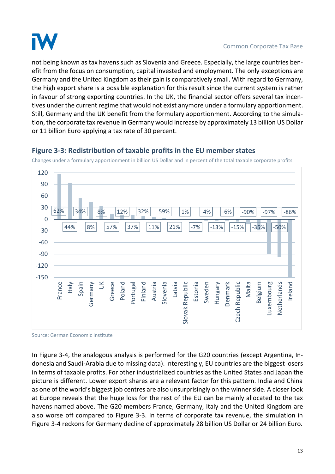

not being known as tax havens such as Slovenia and Greece. Especially, the large countries benefit from the focus on consumption, capital invested and employment. The only exceptions are Germany and the United Kingdom as their gain is comparatively small. With regard to Germany, the high export share is a possible explanation for this result since the current system is rather in favour of strong exporting countries. In the UK, the financial sector offers several tax incentives under the current regime that would not exist anymore under a formulary apportionment. Still, Germany and the UK benefit from the formulary apportionment. According to the simulation, the corporate tax revenue in Germany would increase by approximately 13 billion US Dollar or 11 billion Euro applying a tax rate of 30 percent.



**Figure 3-3: Redistribution of taxable profits in the EU member states**

Changes under a formulary apportionment in billion US Dollar and in percent of the total taxable corporate profits

Source: German Economic Institute

In Figure 3-4, the analogous analysis is performed for the G20 countries (except Argentina, Indonesia and Saudi-Arabia due to missing data). Interestingly, EU countries are the biggest losers in terms of taxable profits. For other industrialized countries as the United States and Japan the picture is different. Lower export shares are a relevant factor for this pattern. India and China as one of the world's biggest job centres are also unsurprisingly on the winner side. A closer look at Europe reveals that the huge loss for the rest of the EU can be mainly allocated to the tax havens named above. The G20 members France, Germany, Italy and the United Kingdom are also worse off compared to Figure 3-3. In terms of corporate tax revenue, the simulation in Figure 3-4 reckons for Germany decline of approximately 28 billion US Dollar or 24 billion Euro.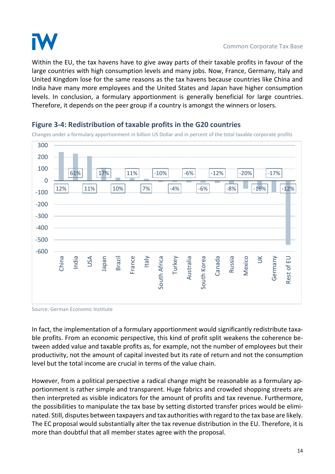

Within the EU, the tax havens have to give away parts of their taxable profits in favour of the large countries with high consumption levels and many jobs. Now, France, Germany, Italy and United Kingdom lose for the same reasons as the tax havens because countries like China and India have many more employees and the United States and Japan have higher consumption levels. In conclusion, a formulary apportionment is generally beneficial for large countries. Therefore, it depends on the peer group if a country is amongst the winners or losers.



#### **Figure 3-4: Redistribution of taxable profits in the G20 countries**

Changes under a formulary apportionment in billion US Dollar and in percent of the total taxable corporate profits

Source: German Economic Institute

In fact, the implementation of a formulary apportionment would significantly redistribute taxable profits. From an economic perspective, this kind of profit split weakens the coherence between added value and taxable profits as, for example, not the number of employees but their productivity, not the amount of capital invested but its rate of return and not the consumption level but the total income are crucial in terms of the value chain.

However, from a political perspective a radical change might be reasonable as a formulary apportionment is rather simple and transparent. Huge fabrics and crowded shopping streets are then interpreted as visible indicators for the amount of profits and tax revenue. Furthermore, the possibilities to manipulate the tax base by setting distorted transfer prices would be eliminated. Still, disputes between taxpayers and tax authorities with regard to the tax base are likely. The EC proposal would substantially alter the tax revenue distribution in the EU. Therefore, it is more than doubtful that all member states agree with the proposal.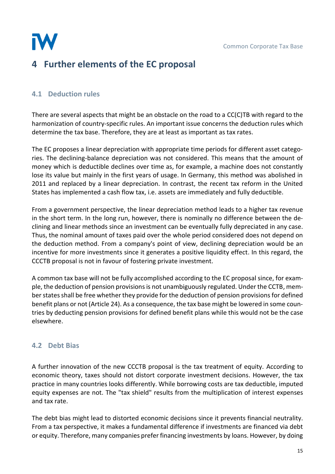

# <span id="page-15-0"></span>**4 Further elements of the EC proposal**

## <span id="page-15-1"></span>**4.1 Deduction rules**

There are several aspects that might be an obstacle on the road to a CC(C)TB with regard to the harmonization of country-specific rules. An important issue concerns the deduction rules which determine the tax base. Therefore, they are at least as important as tax rates.

The EC proposes a linear depreciation with appropriate time periods for different asset categories. The declining-balance depreciation was not considered. This means that the amount of money which is deductible declines over time as, for example, a machine does not constantly lose its value but mainly in the first years of usage. In Germany, this method was abolished in 2011 and replaced by a linear depreciation. In contrast, the recent tax reform in the United States has implemented a cash flow tax, i.e. assets are immediately and fully deductible.

From a government perspective, the linear depreciation method leads to a higher tax revenue in the short term. In the long run, however, there is nominally no difference between the declining and linear methods since an investment can be eventually fully depreciated in any case. Thus, the nominal amount of taxes paid over the whole period considered does not depend on the deduction method. From a company's point of view, declining depreciation would be an incentive for more investments since it generates a positive liquidity effect. In this regard, the CCCTB proposal is not in favour of fostering private investment.

A common tax base will not be fully accomplished according to the EC proposal since, for example, the deduction of pension provisions is not unambiguously regulated. Under the CCTB, member states shall be free whether they provide for the deduction of pension provisionsfor defined benefit plans or not (Article 24). As a consequence, the tax base might be lowered in some countries by deducting pension provisions for defined benefit plans while this would not be the case elsewhere.

## <span id="page-15-2"></span>**4.2 Debt Bias**

A further innovation of the new CCCTB proposal is the tax treatment of equity. According to economic theory, taxes should not distort corporate investment decisions. However, the tax practice in many countries looks differently. While borrowing costs are tax deductible, imputed equity expenses are not. The "tax shield" results from the multiplication of interest expenses and tax rate.

The debt bias might lead to distorted economic decisions since it prevents financial neutrality. From a tax perspective, it makes a fundamental difference if investments are financed via debt or equity. Therefore, many companies prefer financing investments by loans. However, by doing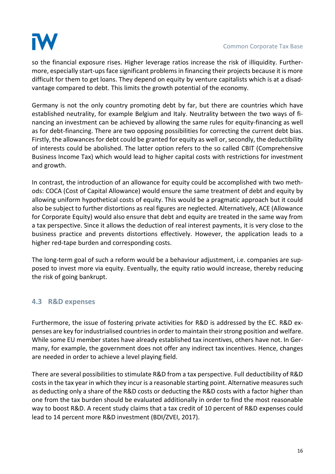

so the financial exposure rises. Higher leverage ratios increase the risk of illiquidity. Furthermore, especially start-ups face significant problems in financing their projects because it is more difficult for them to get loans. They depend on equity by venture capitalists which is at a disadvantage compared to debt. This limits the growth potential of the economy.

Germany is not the only country promoting debt by far, but there are countries which have established neutrality, for example Belgium and Italy. Neutrality between the two ways of financing an investment can be achieved by allowing the same rules for equity-financing as well as for debt-financing. There are two opposing possibilities for correcting the current debt bias. Firstly, the allowances for debt could be granted for equity as well or, secondly, the deductibility of interests could be abolished. The latter option refers to the so called CBIT (Comprehensive Business Income Tax) which would lead to higher capital costs with restrictions for investment and growth.

In contrast, the introduction of an allowance for equity could be accomplished with two methods: COCA (Cost of Capital Allowance) would ensure the same treatment of debt and equity by allowing uniform hypothetical costs of equity. This would be a pragmatic approach but it could also be subject to further distortions as real figures are neglected. Alternatively, ACE (Allowance for Corporate Equity) would also ensure that debt and equity are treated in the same way from a tax perspective. Since it allows the deduction of real interest payments, it is very close to the business practice and prevents distortions effectively. However, the application leads to a higher red-tape burden and corresponding costs.

The long-term goal of such a reform would be a behaviour adjustment, i.e. companies are supposed to invest more via equity. Eventually, the equity ratio would increase, thereby reducing the risk of going bankrupt.

## <span id="page-16-0"></span>**4.3 R&D expenses**

Furthermore, the issue of fostering private activities for R&D is addressed by the EC. R&D expenses are key for industrialised countries in order to maintain their strong position and welfare. While some EU member states have already established tax incentives, others have not. In Germany, for example, the government does not offer any indirect tax incentives. Hence, changes are needed in order to achieve a level playing field.

There are several possibilities to stimulate R&D from a tax perspective. Full deductibility of R&D costs in the tax year in which they incur is a reasonable starting point. Alternative measures such as deducting only a share of the R&D costs or deducting the R&D costs with a factor higher than one from the tax burden should be evaluated additionally in order to find the most reasonable way to boost R&D. A recent study claims that a tax credit of 10 percent of R&D expenses could lead to 14 percent more R&D investment (BDI/ZVEI, 2017).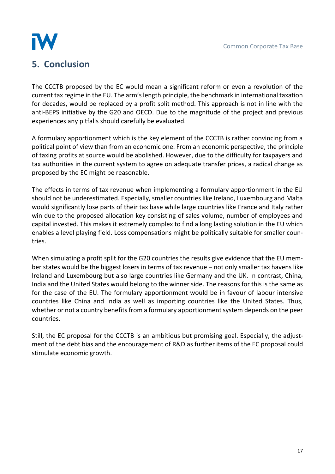

# <span id="page-17-0"></span>**5. Conclusion**

The CCCTB proposed by the EC would mean a significant reform or even a revolution of the current tax regime in the EU. The arm's length principle, the benchmark in international taxation for decades, would be replaced by a profit split method. This approach is not in line with the anti-BEPS initiative by the G20 and OECD. Due to the magnitude of the project and previous experiences any pitfalls should carefully be evaluated.

A formulary apportionment which is the key element of the CCCTB is rather convincing from a political point of view than from an economic one. From an economic perspective, the principle of taxing profits at source would be abolished. However, due to the difficulty for taxpayers and tax authorities in the current system to agree on adequate transfer prices, a radical change as proposed by the EC might be reasonable.

The effects in terms of tax revenue when implementing a formulary apportionment in the EU should not be underestimated. Especially, smaller countries like Ireland, Luxembourg and Malta would significantly lose parts of their tax base while large countries like France and Italy rather win due to the proposed allocation key consisting of sales volume, number of employees and capital invested. This makes it extremely complex to find a long lasting solution in the EU which enables a level playing field. Loss compensations might be politically suitable for smaller countries.

When simulating a profit split for the G20 countries the results give evidence that the EU member states would be the biggest losers in terms of tax revenue – not only smaller tax havens like Ireland and Luxembourg but also large countries like Germany and the UK. In contrast, China, India and the United States would belong to the winner side. The reasons for this is the same as for the case of the EU. The formulary apportionment would be in favour of labour intensive countries like China and India as well as importing countries like the United States. Thus, whether or not a country benefits from a formulary apportionment system depends on the peer countries.

Still, the EC proposal for the CCCTB is an ambitious but promising goal. Especially, the adjustment of the debt bias and the encouragement of R&D as further items of the EC proposal could stimulate economic growth.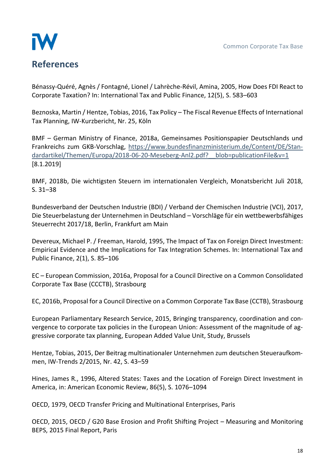

<span id="page-18-0"></span>Bénassy-Quéré, Agnès / Fontagné, Lionel / Lahrèche-Révil, Amina, 2005, How Does FDI React to Corporate Taxation? In: International Tax and Public Finance, 12(5), S. 583–603

Beznoska, Martin / Hentze, Tobias, 2016, Tax Policy – The Fiscal Revenue Effects of International Tax Planning, IW-Kurzbericht, Nr. 25, Köln

BMF – German Ministry of Finance, 2018a, Gemeinsames Positionspapier Deutschlands und Frankreichs zum GKB-Vorschlag, [https://www.bundesfinanzministerium.de/Content/DE/Stan](https://www.bundesfinanzministerium.de/Content/DE/Standardartikel/Themen/Europa/2018-06-20-Meseberg-Anl2.pdf?__blob=publicationFile&v=1)dardartikel/Themen/Europa/2018-06-20-Meseberg-Anl2.pdf? blob=publicationFile&v=1 [8.1.2019]

BMF, 2018b, Die wichtigsten Steuern im internationalen Vergleich, Monatsbericht Juli 2018, S. 31–38

Bundesverband der Deutschen Industrie (BDI) / Verband der Chemischen Industrie (VCI), 2017, Die Steuerbelastung der Unternehmen in Deutschland – Vorschläge für ein wettbewerbsfähiges Steuerrecht 2017/18, Berlin, Frankfurt am Main

Devereux, Michael P. / Freeman, Harold, 1995, The Impact of Tax on Foreign Direct Investment: Empirical Evidence and the Implications for Tax Integration Schemes. In: International Tax and Public Finance, 2(1), S. 85–106

EC – European Commission, 2016a, Proposal for a Council Directive on a Common Consolidated Corporate Tax Base (CCCTB), Strasbourg

EC, 2016b, Proposal for a Council Directive on a Common Corporate Tax Base (CCTB), Strasbourg

European Parliamentary Research Service, 2015, Bringing transparency, coordination and convergence to corporate tax policies in the European Union: Assessment of the magnitude of aggressive corporate tax planning, European Added Value Unit, Study, Brussels

Hentze, Tobias, 2015, Der Beitrag multinationaler Unternehmen zum deutschen Steueraufkommen, IW-Trends 2/2015, Nr. 42, S. 43–59

Hines, James R., 1996, Altered States: Taxes and the Location of Foreign Direct Investment in America, in: American Economic Review, 86(5), S. 1076–1094

OECD, 1979, OECD Transfer Pricing and Multinational Enterprises, Paris

OECD, 2015, OECD / G20 Base Erosion and Profit Shifting Project – Measuring and Monitoring BEPS, 2015 Final Report, Paris